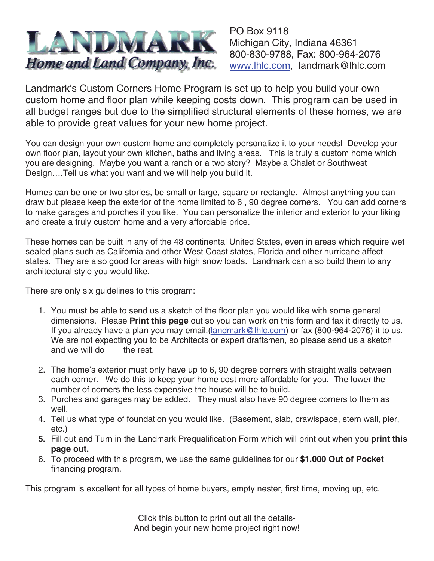

PO Box 9118 Michigan City, Indiana 46361 800-830-9788, Fax: 800-964-2076 www.lhlc.com, landmark@lhlc.com

Landmark's Custom Corners Home Program is set up to help you build your own custom home and floor plan while keeping costs down. This program can be used in all budget ranges but due to the simplified structural elements of these homes, we are able to provide great values for your new home project.

You can design your own custom home and completely personalize it to your needs! Develop your own floor plan, layout your own kitchen, baths and living areas. This is truly a custom home which you are designing. Maybe you want a ranch or a two story? Maybe a Chalet or Southwest Design….Tell us what you want and we will help you build it.

Homes can be one or two stories, be small or large, square or rectangle. Almost anything you can draw but please keep the exterior of the home limited to 6 , 90 degree corners. You can add corners to make garages and porches if you like. You can personalize the interior and exterior to your liking and create a truly custom home and a very affordable price.

These homes can be built in any of the 48 continental United States, even in areas which require wet sealed plans such as California and other West Coast states, Florida and other hurricane affect states. They are also good for areas with high snow loads. Landmark can also build them to any architectural style you would like.

There are only six guidelines to this program:

- 1. You must be able to send us a sketch of the floor plan you would like with some general dimensions. Please **Print this page** out so you can work on this form and fax it directly to us. If you already have a plan you may email.(landmark@lhlc.com) or fax (800-964-2076) it to us. We are not expecting you to be Architects or expert draftsmen, so please send us a sketch and we will do the rest.
- 2. The home's exterior must only have up to 6, 90 degree corners with straight walls between each corner. We do this to keep your home cost more affordable for you. The lower the number of corners the less expensive the house will be to build.
- 3. Porches and garages may be added. They must also have 90 degree corners to them as well.
- 4. Tell us what type of foundation you would like. (Basement, slab, crawlspace, stem wall, pier, etc.)
- **5.** Fill out and Turn in the Landmark Prequalification Form which will print out when you **print this page out.**
- 6. To proceed with this program, we use the same guidelines for our **\$1,000 Out of Pocket** financing program.

This program is excellent for all types of home buyers, empty nester, first time, moving up, etc.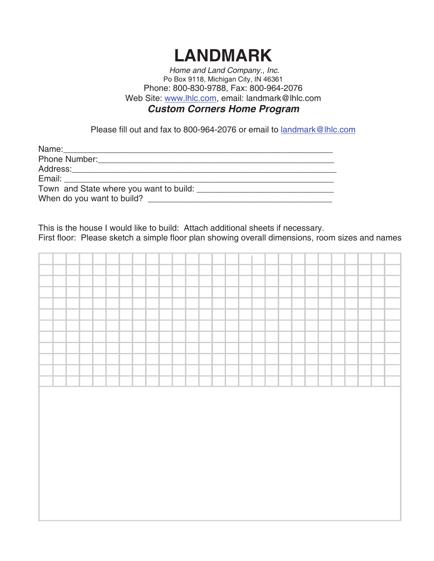## **LANDMARK**

Home and Land Company., Inc. Po Box 9118, Michigan City, IN 46361 Phone: 800-830-9788, Fax: 800-964-2076 Web Site: www.lhlc.com, email: landmark@lhlc.com

## **Custom Corners Home Program**

Please fill out and fax to 800-964-2076 or email to landmark@lhlc.com

| Town and State where you want to build: |  |
|-----------------------------------------|--|
| When do you want to build?              |  |

This is the house I would like to build: Attach additional sheets if necessary. First floor: Please sketch a simple floor plan showing overall dimensions, room sizes and names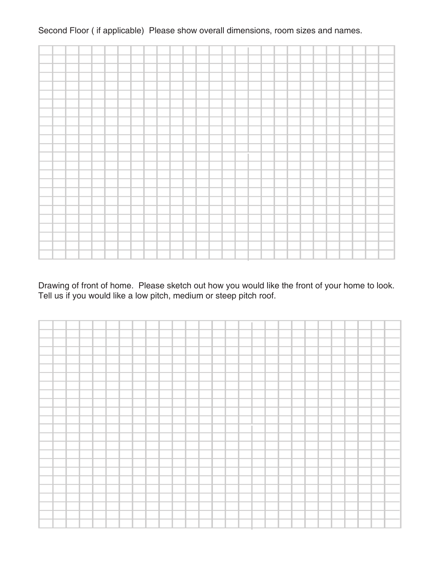## Second Floor ( if applicable) Please show overall dimensions, room sizes and names.



Drawing of front of home. Please sketch out how you would like the front of your home to look. Tell us if you would like a low pitch, medium or steep pitch roof.